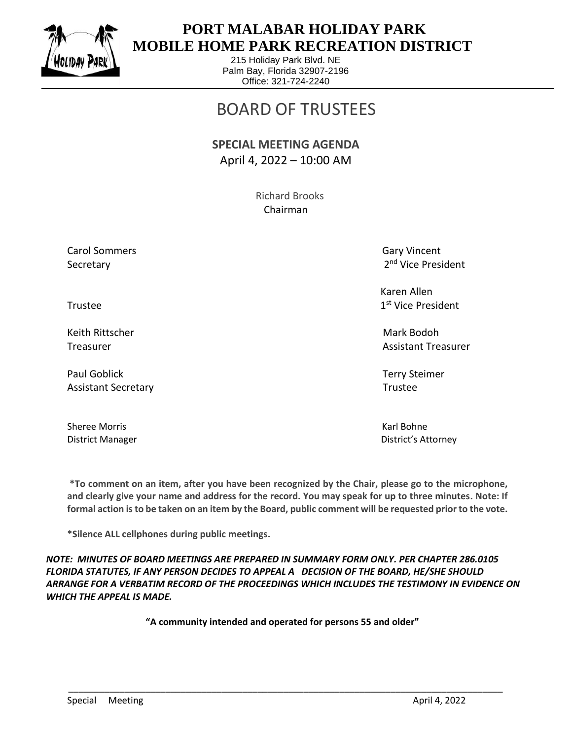

 $\overline{a}$ 

## **PORT MALABAR HOLIDAY PARK MOBILE HOME PARK RECREATION DISTRICT**

215 Holiday Park Blvd. NE Palm Bay, Florida 32907-2196 Office: 321-724-2240

## BOARD OF TRUSTEES

## **SPECIAL MEETING AGENDA** April 4, 2022 – 10:00 AM

 Richard Brooks Chairman

Carol Sommers Gary Vincent Secretary

2<sup>nd</sup> Vice President

 Karen Allen 1st Vice President

Treasurer Assistant Treasurer Assistant Treasurer Assistant Treasurer Assistant Treasurer

District Manager District's Attorney

Trustee and the state of the state of the state of the state of the state of the state of the state of the state of the state of the state of the state of the state of the state of the state of the state of the state of th

Keith Rittscher Mark Bodoh (Mark Bodoh Mark Bodoh Mark Bodoh Mark Bodoh Mark Bodoh Mark Bodoh Mark Bodoh Mark

Paul Goblick Terry Steimer Assistant Secretary **Trustee** 

Sheree Morris **Karl Bohne** Karl Bohne

**\*To comment on an item, after you have been recognized by the Chair, please go to the microphone, and clearly give your name and address for the record. You may speak for up to three minutes. Note: If formal action is to be taken on an item by the Board, public comment will be requested prior to the vote.**

**\*Silence ALL cellphones during public meetings.**

*NOTE: MINUTES OF BOARD MEETINGS ARE PREPARED IN SUMMARY FORM ONLY. PER CHAPTER 286.0105 FLORIDA STATUTES, IF ANY PERSON DECIDES TO APPEAL A DECISION OF THE BOARD, HE/SHE SHOULD ARRANGE FOR A VERBATIM RECORD OF THE PROCEEDINGS WHICH INCLUDES THE TESTIMONY IN EVIDENCE ON WHICH THE APPEAL IS MADE.*

**"A community intended and operated for persons 55 and older"**

\_\_\_\_\_\_\_\_\_\_\_\_\_\_\_\_\_\_\_\_\_\_\_\_\_\_\_\_\_\_\_\_\_\_\_\_\_\_\_\_\_\_\_\_\_\_\_\_\_\_\_\_\_\_\_\_\_\_\_\_\_\_\_\_\_\_\_\_\_\_\_\_\_\_\_\_\_\_\_\_\_\_\_\_\_